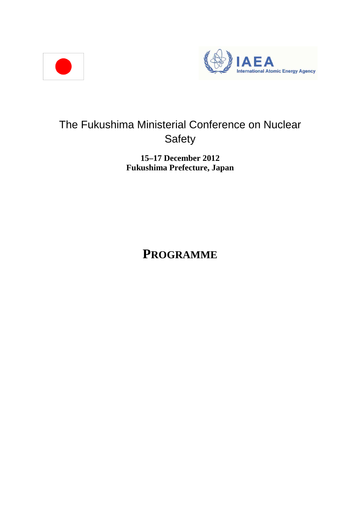



# The Fukushima Ministerial Conference on Nuclear Safety

### **15–17 December 2012 Fukushima Prefecture, Japan**

**PROGRAMME**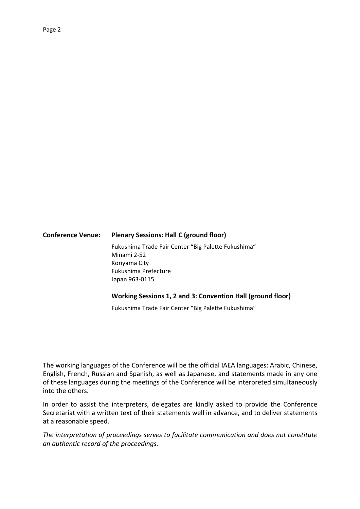### **Conference Venue: Plenary Sessions: Hall C (ground floor)**  Fukushima Trade Fair Center "Big Palette Fukushima" Minami 2-52 Koriyama City Fukushima Prefecture Japan 963-0115

#### **Working Sessions 1, 2 and 3: Convention Hall (ground floor)**

Fukushima Trade Fair Center "Big Palette Fukushima"

The working languages of the Conference will be the official IAEA languages: Arabic, Chinese, English, French, Russian and Spanish, as well as Japanese, and statements made in any one of these languages during the meetings of the Conference will be interpreted simultaneously into the others.

In order to assist the interpreters, delegates are kindly asked to provide the Conference Secretariat with a written text of their statements well in advance, and to deliver statements at a reasonable speed.

*The interpretation of proceedings serves to facilitate communication and does not constitute an authentic record of the proceedings.*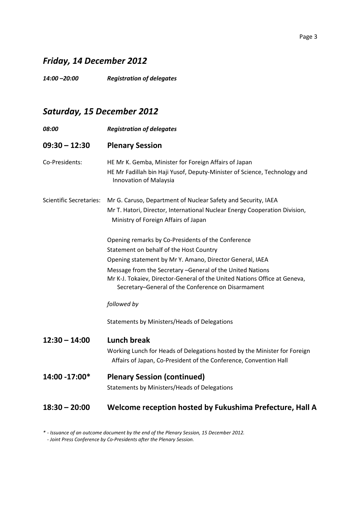#### Page 3

### *Friday, 14 December 2012*

*14:00 –20:00 Registration of delegates* 

# *Saturday, 15 December 2012*

| 08:00                          | <b>Registration of delegates</b>                                                                                                                                                                                                                                                                                                                                                                                          |
|--------------------------------|---------------------------------------------------------------------------------------------------------------------------------------------------------------------------------------------------------------------------------------------------------------------------------------------------------------------------------------------------------------------------------------------------------------------------|
| $09:30 - 12:30$                | <b>Plenary Session</b>                                                                                                                                                                                                                                                                                                                                                                                                    |
| Co-Presidents:                 | HE Mr K. Gemba, Minister for Foreign Affairs of Japan<br>HE Mr Fadillah bin Haji Yusof, Deputy-Minister of Science, Technology and<br>Innovation of Malaysia                                                                                                                                                                                                                                                              |
| <b>Scientific Secretaries:</b> | Mr G. Caruso, Department of Nuclear Safety and Security, IAEA<br>Mr T. Hatori, Director, International Nuclear Energy Cooperation Division,<br>Ministry of Foreign Affairs of Japan                                                                                                                                                                                                                                       |
|                                | Opening remarks by Co-Presidents of the Conference<br>Statement on behalf of the Host Country<br>Opening statement by Mr Y. Amano, Director General, IAEA<br>Message from the Secretary - General of the United Nations<br>Mr K-J. Tokaiev, Director-General of the United Nations Office at Geneva,<br>Secretary-General of the Conference on Disarmament<br>followed by<br>Statements by Ministers/Heads of Delegations |
| $12:30 - 14:00$                | <b>Lunch break</b><br>Working Lunch for Heads of Delegations hosted by the Minister for Foreign<br>Affairs of Japan, Co-President of the Conference, Convention Hall                                                                                                                                                                                                                                                      |
| 14:00 -17:00*                  | <b>Plenary Session (continued)</b><br>Statements by Ministers/Heads of Delegations                                                                                                                                                                                                                                                                                                                                        |
| $18:30 - 20:00$                | Welcome reception hosted by Fukushima Prefecture, Hall A                                                                                                                                                                                                                                                                                                                                                                  |

*\* - Issuance of an outcome document by the end of the Plenary Session, 15 December 2012.* 

*- Joint Press Conference by Co-Presidents after the Plenary Session.*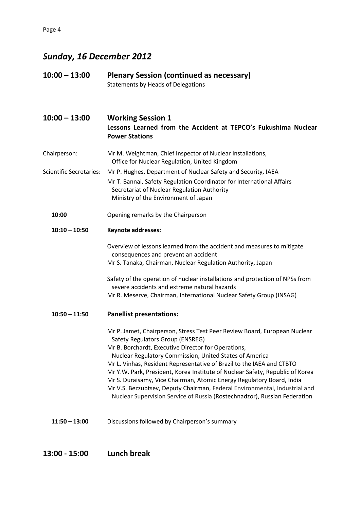# *Sunday, 16 December 2012*

| $10:00 - 13:00$                | <b>Plenary Session (continued as necessary)</b><br><b>Statements by Heads of Delegations</b>                                                                                                                                                                                                                                                                                                                                                                                                                                                                                                                                  |
|--------------------------------|-------------------------------------------------------------------------------------------------------------------------------------------------------------------------------------------------------------------------------------------------------------------------------------------------------------------------------------------------------------------------------------------------------------------------------------------------------------------------------------------------------------------------------------------------------------------------------------------------------------------------------|
| $10:00 - 13:00$                | <b>Working Session 1</b><br>Lessons Learned from the Accident at TEPCO's Fukushima Nuclear<br><b>Power Stations</b>                                                                                                                                                                                                                                                                                                                                                                                                                                                                                                           |
| Chairperson:                   | Mr M. Weightman, Chief Inspector of Nuclear Installations,<br>Office for Nuclear Regulation, United Kingdom                                                                                                                                                                                                                                                                                                                                                                                                                                                                                                                   |
| <b>Scientific Secretaries:</b> | Mr P. Hughes, Department of Nuclear Safety and Security, IAEA<br>Mr T. Bannai, Safety Regulation Coordinator for International Affairs<br>Secretariat of Nuclear Regulation Authority<br>Ministry of the Environment of Japan                                                                                                                                                                                                                                                                                                                                                                                                 |
| 10:00                          | Opening remarks by the Chairperson                                                                                                                                                                                                                                                                                                                                                                                                                                                                                                                                                                                            |
| $10:10 - 10:50$                | <b>Keynote addresses:</b>                                                                                                                                                                                                                                                                                                                                                                                                                                                                                                                                                                                                     |
|                                | Overview of lessons learned from the accident and measures to mitigate<br>consequences and prevent an accident<br>Mr S. Tanaka, Chairman, Nuclear Regulation Authority, Japan                                                                                                                                                                                                                                                                                                                                                                                                                                                 |
|                                | Safety of the operation of nuclear installations and protection of NPSs from<br>severe accidents and extreme natural hazards<br>Mr R. Meserve, Chairman, International Nuclear Safety Group (INSAG)                                                                                                                                                                                                                                                                                                                                                                                                                           |
| $10:50 - 11:50$                | <b>Panellist presentations:</b>                                                                                                                                                                                                                                                                                                                                                                                                                                                                                                                                                                                               |
|                                | Mr P. Jamet, Chairperson, Stress Test Peer Review Board, European Nuclear<br>Safety Regulators Group (ENSREG)<br>Mr B. Borchardt, Executive Director for Operations,<br>Nuclear Regulatory Commission, United States of America<br>Mr L. Vinhas, Resident Representative of Brazil to the IAEA and CTBTO<br>Mr Y.W. Park, President, Korea Institute of Nuclear Safety, Republic of Korea<br>Mr S. Duraisamy, Vice Chairman, Atomic Energy Regulatory Board, India<br>Mr V.S. Bezzubtsev, Deputy Chairman, Federal Environmental, Industrial and<br>Nuclear Supervision Service of Russia (Rostechnadzor), Russian Federation |
| $11:50 - 13:00$                | Discussions followed by Chairperson's summary                                                                                                                                                                                                                                                                                                                                                                                                                                                                                                                                                                                 |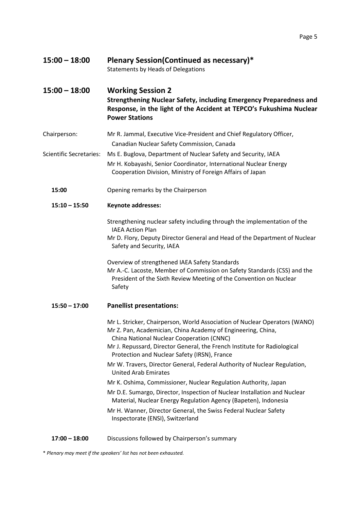| $15:00 - 18:00$                | <b>Plenary Session (Continued as necessary)*</b><br><b>Statements by Heads of Delegations</b>                                                                                                                                                                       |
|--------------------------------|---------------------------------------------------------------------------------------------------------------------------------------------------------------------------------------------------------------------------------------------------------------------|
| $15:00 - 18:00$                | <b>Working Session 2</b><br>Strengthening Nuclear Safety, including Emergency Preparedness and<br>Response, in the light of the Accident at TEPCO's Fukushima Nuclear<br><b>Power Stations</b>                                                                      |
| Chairperson:                   | Mr R. Jammal, Executive Vice-President and Chief Regulatory Officer,<br>Canadian Nuclear Safety Commission, Canada                                                                                                                                                  |
| <b>Scientific Secretaries:</b> | Ms E. Buglova, Department of Nuclear Safety and Security, IAEA<br>Mr H. Kobayashi, Senior Coordinator, International Nuclear Energy<br>Cooperation Division, Ministry of Foreign Affairs of Japan                                                                   |
| 15:00                          | Opening remarks by the Chairperson                                                                                                                                                                                                                                  |
| $15:10 - 15:50$                | <b>Keynote addresses:</b>                                                                                                                                                                                                                                           |
|                                | Strengthening nuclear safety including through the implementation of the<br><b>IAEA Action Plan</b><br>Mr D. Flory, Deputy Director General and Head of the Department of Nuclear<br>Safety and Security, IAEA                                                      |
|                                | Overview of strengthened IAEA Safety Standards<br>Mr A.-C. Lacoste, Member of Commission on Safety Standards (CSS) and the<br>President of the Sixth Review Meeting of the Convention on Nuclear<br>Safety                                                          |
| $15:50 - 17:00$                | <b>Panellist presentations:</b>                                                                                                                                                                                                                                     |
|                                | Mr L. Stricker, Chairperson, World Association of Nuclear Operators (WANO)<br>Mr Z. Pan, Academician, China Academy of Engineering, China,<br>China National Nuclear Cooperation (CNNC)<br>Mr J. Repussard, Director General, the French Institute for Radiological |
|                                | Protection and Nuclear Safety (IRSN), France                                                                                                                                                                                                                        |
|                                | Mr W. Travers, Director General, Federal Authority of Nuclear Regulation,<br><b>United Arab Emirates</b>                                                                                                                                                            |
|                                | Mr K. Oshima, Commissioner, Nuclear Regulation Authority, Japan                                                                                                                                                                                                     |
|                                | Mr D.E. Sumargo, Director, Inspection of Nuclear Installation and Nuclear<br>Material, Nuclear Energy Regulation Agency (Bapeten), Indonesia                                                                                                                        |
|                                | Mr H. Wanner, Director General, the Swiss Federal Nuclear Safety<br>Inspectorate (ENSI), Switzerland                                                                                                                                                                |

**17:00 – 18:00** Discussions followed by Chairperson's summary

\* *Plenary may meet if the speakers' list has not been exhausted.*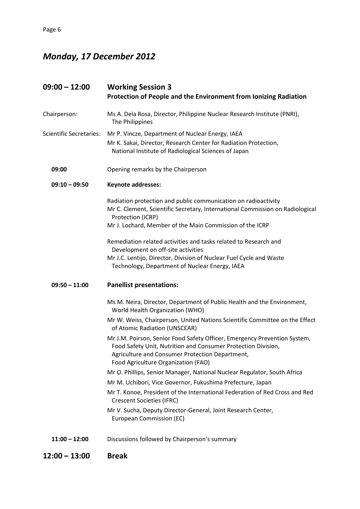# *Monday, 17 December 2012*

| $09:00 - 12:00$                | <b>Working Session 3</b><br>Protection of People and the Environment from Ionizing Radiation                                                                                                                                         |
|--------------------------------|--------------------------------------------------------------------------------------------------------------------------------------------------------------------------------------------------------------------------------------|
| Chairperson:                   | Ms A. Dela Rosa, Director, Philippine Nuclear Research Institute (PNRI),<br>The Philippines                                                                                                                                          |
| <b>Scientific Secretaries:</b> | Mr P. Vincze, Department of Nuclear Energy, IAEA<br>Mr K. Sakai, Director, Research Center for Radiation Protection,<br>National Institute of Radiological Sciences of Japan                                                         |
| 09:00                          | Opening remarks by the Chairperson                                                                                                                                                                                                   |
| $09:10 - 09:50$                | Keynote addresses:                                                                                                                                                                                                                   |
|                                | Radiation protection and public communication on radioactivity<br>Mr C. Clement, Scientific Secretary, International Commission on Radiological<br>Protection (ICRP)<br>Mr J. Lochard, Member of the Main Commission of the ICRP     |
|                                | Remediation related activities and tasks related to Research and<br>Development on off-site activities<br>Mr J.C. Lentijo, Director, Division of Nuclear Fuel Cycle and Waste<br>Technology, Department of Nuclear Energy, IAEA      |
| $09:50 - 11:00$                | <b>Panellist presentations:</b>                                                                                                                                                                                                      |
|                                | Ms M. Neira, Director, Department of Public Health and the Environment,<br>World Health Organization (WHO)                                                                                                                           |
|                                | Mr W. Weiss, Chairperson, United Nations Scientific Committee on the Effect<br>of Atomic Radiation (UNSCEAR)                                                                                                                         |
|                                | Mr J.M. Poirson, Senior Food Safety Officer, Emergency Prevention System,<br>Food Safety Unit, Nutrition and Consumer Protection Division,<br>Agriculture and Consumer Protection Department,<br>Food Agriculture Organization (FAO) |
|                                | Mr O. Phillips, Senior Manager, National Nuclear Regulator, South Africa                                                                                                                                                             |
|                                | Mr M. Uchibori, Vice Governor, Fukushima Prefecture, Japan                                                                                                                                                                           |
|                                | Mr T. Konoe, President of the International Federation of Red Cross and Red<br><b>Crescent Societies (IFRC)</b>                                                                                                                      |
|                                | Mr V. Sucha, Deputy Director-General, Joint Research Center,<br>European Commission (EC)                                                                                                                                             |
| $11:00 - 12:00$                | Discussions followed by Chairperson's summary                                                                                                                                                                                        |
| $12:00 - 13:00$                | <b>Break</b>                                                                                                                                                                                                                         |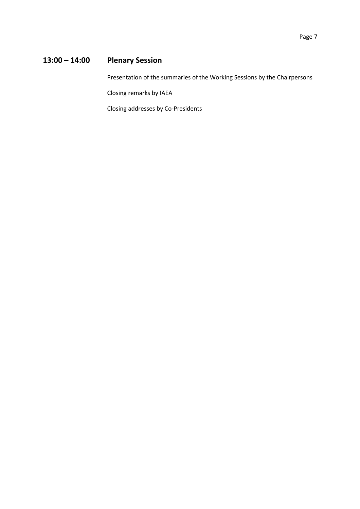### **13:00 – 14:00 Plenary Session**

Presentation of the summaries of the Working Sessions by the Chairpersons

Closing remarks by IAEA

Closing addresses by Co-Presidents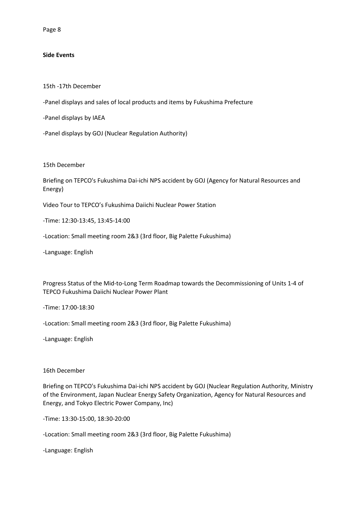#### **Side Events**

15th -17th December

-Panel displays and sales of local products and items by Fukushima Prefecture

-Panel displays by IAEA

-Panel displays by GOJ (Nuclear Regulation Authority)

15th December

Briefing on TEPCO's Fukushima Dai-ichi NPS accident by GOJ (Agency for Natural Resources and Energy)

Video Tour to TEPCO's Fukushima Daiichi Nuclear Power Station

-Time: 12:30-13:45, 13:45-14:00

-Location: Small meeting room 2&3 (3rd floor, Big Palette Fukushima)

-Language: English

Progress Status of the Mid-to-Long Term Roadmap towards the Decommissioning of Units 1-4 of TEPCO Fukushima Daiichi Nuclear Power Plant

-Time: 17:00-18:30

-Location: Small meeting room 2&3 (3rd floor, Big Palette Fukushima)

-Language: English

#### 16th December

Briefing on TEPCO's Fukushima Dai-ichi NPS accident by GOJ (Nuclear Regulation Authority, Ministry of the Environment, Japan Nuclear Energy Safety Organization, Agency for Natural Resources and Energy, and Tokyo Electric Power Company, Inc)

-Time: 13:30-15:00, 18:30-20:00

-Location: Small meeting room 2&3 (3rd floor, Big Palette Fukushima)

-Language: English